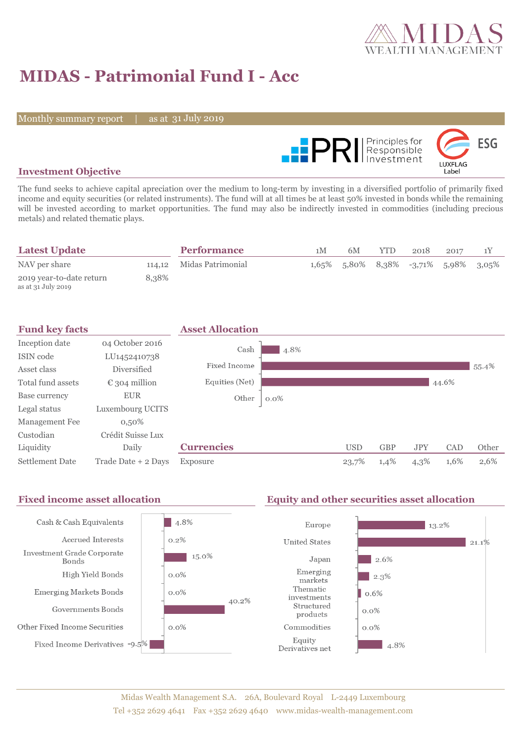

# **MIDAS - Patrimonial Fund I - Acc**

Monthly summary report

31 July 2019



### **Investment Objective**

The fund seeks to achieve capital apreciation over the medium to long-term by investing in a diversified portfolio of primarily fixed income and equity securities (or related instruments). The fund will at all times be at least 50% invested in bonds while the remaining will be invested according to market opportunities. The fund may also be indirectly invested in commodities (including precious metals) and related thematic plays.

| <b>Latest Update</b>                           |       | <b>Performance</b>       | 1 M | 6M                                      | YTD. | 2018 | 2017 |  |
|------------------------------------------------|-------|--------------------------|-----|-----------------------------------------|------|------|------|--|
| NAV per share                                  |       | 114,12 Midas Patrimonial |     | $1,65\%$ 5,80% 8,38% -3,71% 5,98% 3,05% |      |      |      |  |
| 2019 year-to-date return<br>as at 31 July 2019 | 8.38% |                          |     |                                         |      |      |      |  |

| <b>Fund key facts</b>  |                        | <b>Asset Allocation</b> |         |            |            |            |       |       |
|------------------------|------------------------|-------------------------|---------|------------|------------|------------|-------|-------|
| Inception date         | 04 October 2016        | Cash                    | 4.8%    |            |            |            |       |       |
| ISIN code              | LU1452410738           |                         |         |            |            |            |       |       |
| Asset class            | Diversified            | Fixed Income            |         |            |            |            |       | 55.4% |
| Total fund assets      | $\epsilon$ 304 million | Equities (Net)          |         |            |            |            | 44.6% |       |
| Base currency          | <b>EUR</b>             | Other                   | $0.0\%$ |            |            |            |       |       |
| Legal status           | Luxembourg UCITS       |                         |         |            |            |            |       |       |
| Management Fee         | $0,50\%$               |                         |         |            |            |            |       |       |
| Custodian              | Crédit Suisse Lux      |                         |         |            |            |            |       |       |
| Liquidity              | Daily                  | <b>Currencies</b>       |         | <b>USD</b> | <b>GBP</b> | <b>JPY</b> | CAD   | Other |
| <b>Settlement Date</b> | Trade Date + 2 Days    | Exposure                |         | 23,7%      | 1,4%       | $4,3\%$    | 1,6%  | 2,6%  |

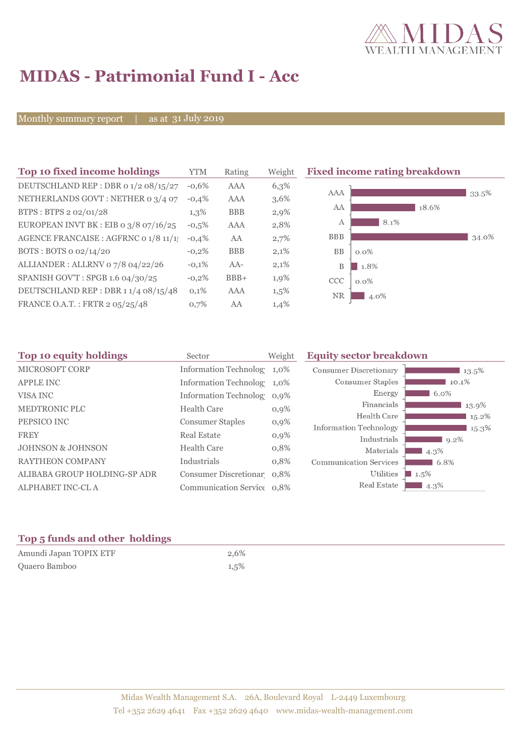

# **MIDAS - Patrimonial Fund I - Acc**

Monthly summary report

31 July 2019

| Top 10 fixed income holdings          | <b>YTM</b> | Rating     | Weigh |
|---------------------------------------|------------|------------|-------|
| DEUTSCHLAND REP : DBR 0 1/2 08/15/27  | $-0.6%$    | AAA        | 6,3%  |
| NETHERLANDS GOVT: NETHER 0 3/4 07     | $-0.4%$    | AAA        | 3,6%  |
| BTPS: BTPS 2 02/01/28                 | 1,3%       | <b>BBB</b> | 2,9%  |
| EUROPEAN INVT BK : EIB o 3/8 07/16/25 | $-0,5%$    | AAA        | 2,8%  |
| AGENCE FRANCAISE : AGFRNC 0 1/8 11/1! | $-0.4%$    | AA         | 2,7%  |
| BOTS: BOTS $o$ 02/14/20               | $-0.2%$    | <b>BBB</b> | 2,1%  |
| ALLIANDER: ALLRNV 07/8 04/22/26       | $-0.1%$    | $AA-$      | 2,1%  |
| SPANISH GOV'T: SPGB 1.6 04/30/25      | $-0.2%$    | $BBB+$     | 1,9%  |
| DEUTSCHLAND REP: DBR 1 1/4 08/15/48   | 0,1%       | AAA        | 1,5%  |
| FRANCE O.A.T.: FRTR 2 05/25/48        | 0.7%       | AA         | 1,4%  |

**Fixed income rating breakdown** 



| Sector             | Weight                                        | <b>Equity sector breakdown</b>                                                                                                                                        |                     |  |
|--------------------|-----------------------------------------------|-----------------------------------------------------------------------------------------------------------------------------------------------------------------------|---------------------|--|
|                    |                                               | <b>Consumer Discretionary</b>                                                                                                                                         | 13.5%               |  |
|                    |                                               | Consumer Staples                                                                                                                                                      | 10.1%               |  |
|                    |                                               | Energy                                                                                                                                                                | 6.0%                |  |
|                    |                                               | Financials                                                                                                                                                            | 13.9%               |  |
|                    |                                               | Health Care                                                                                                                                                           | 15.2%               |  |
|                    |                                               | Information Technology                                                                                                                                                | 15.3%               |  |
| <b>Real Estate</b> | $0,9\%$                                       | Industrials                                                                                                                                                           | 9.2%                |  |
| <b>Health Care</b> | 0,8%                                          | Materials                                                                                                                                                             | 4.3%                |  |
| Industrials        | 0,8%                                          | <b>Communication Services</b>                                                                                                                                         | 6.8%                |  |
|                    |                                               | Utilities                                                                                                                                                             | $\blacksquare$ 1.5% |  |
|                    |                                               | Real Estate                                                                                                                                                           | 4.3%                |  |
|                    | <b>Health Care</b><br><b>Consumer Staples</b> | Information Technolog 1,0%<br>Information Technolog 1,0%<br>Information Technolog 0,9%<br>0,9%<br>$0,9\%$<br>Consumer Discretionar 0,8%<br>Communication Service 0.8% |                     |  |

### **Top 5 funds and other holdings**

| Amundi Japan TOPIX ETF | 2.6% |
|------------------------|------|
| Quaero Bamboo          | 1,5% |